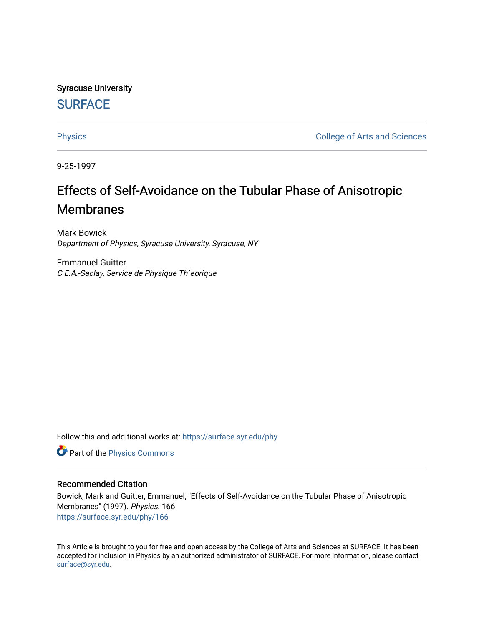Syracuse University **[SURFACE](https://surface.syr.edu/)** 

[Physics](https://surface.syr.edu/phy) **College of Arts and Sciences** 

9-25-1997

# Effects of Self-Avoidance on the Tubular Phase of Anisotropic Membranes

Mark Bowick Department of Physics, Syracuse University, Syracuse, NY

Emmanuel Guitter C.E.A.-Saclay, Service de Physique Th´eorique

Follow this and additional works at: [https://surface.syr.edu/phy](https://surface.syr.edu/phy?utm_source=surface.syr.edu%2Fphy%2F166&utm_medium=PDF&utm_campaign=PDFCoverPages)

Part of the [Physics Commons](http://network.bepress.com/hgg/discipline/193?utm_source=surface.syr.edu%2Fphy%2F166&utm_medium=PDF&utm_campaign=PDFCoverPages)

# Recommended Citation

Bowick, Mark and Guitter, Emmanuel, "Effects of Self-Avoidance on the Tubular Phase of Anisotropic Membranes" (1997). Physics. 166. [https://surface.syr.edu/phy/166](https://surface.syr.edu/phy/166?utm_source=surface.syr.edu%2Fphy%2F166&utm_medium=PDF&utm_campaign=PDFCoverPages)

This Article is brought to you for free and open access by the College of Arts and Sciences at SURFACE. It has been accepted for inclusion in Physics by an authorized administrator of SURFACE. For more information, please contact [surface@syr.edu.](mailto:surface@syr.edu)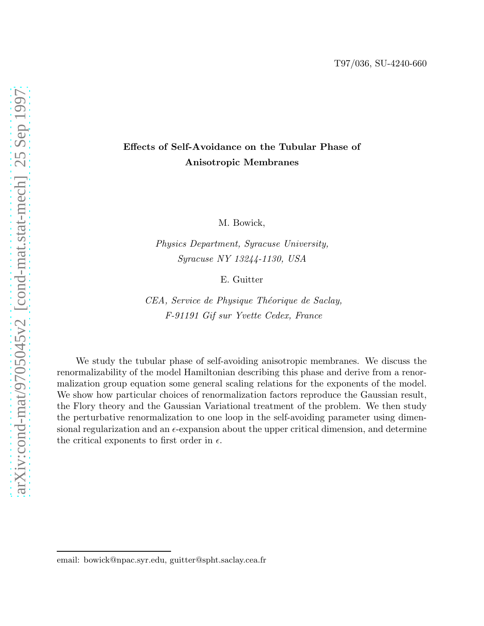# Effects of Self-Avoidance on the Tubular Phase of Anisotropic Membranes

M. Bowick,

Physics Department, Syracuse University, Syracuse NY 13244-1130, USA

E. Guitter

CEA, Service de Physique Théorique de Saclay, F-91191 Gif sur Yvette Cedex, France

We study the tubular phase of self-avoiding anisotropic membranes. We discuss the renormalizability of the model Hamiltonian describing this phase and derive from a renormalization group equation some general scaling relations for the exponents of the model. We show how particular choices of renormalization factors reproduce the Gaussian result, the Flory theory and the Gaussian Variational treatment of the problem. We then study the perturbative renormalization to one loop in the self-avoiding parameter using dimensional regularization and an  $\epsilon$ -expansion about the upper critical dimension, and determine the critical exponents to first order in  $\epsilon$ .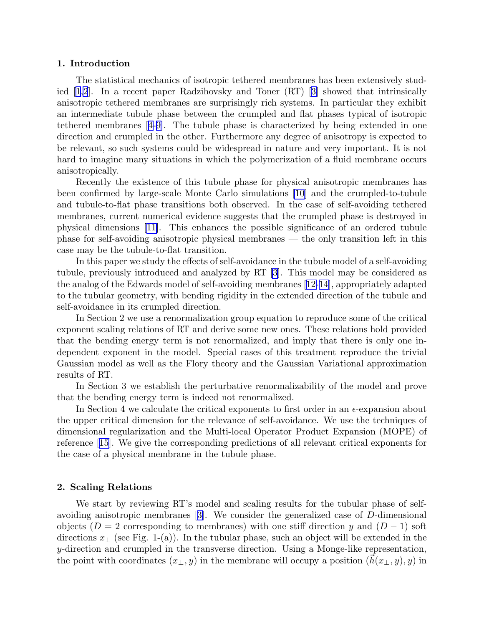# 1. Introduction

The statistical mechanics of isotropic tethered membranes has been extensively studied [\[1,2](#page-19-0)]. In a recent paper Radzihovsky and Toner (RT)[[3](#page-19-0)] showed that intrinsically anisotropic tethered membranes are surprisingly rich systems. In particular they exhibit an intermediate tubule phase between the crumpled and flat phases typical of isotropic tethered membranes[[4-9\]](#page-19-0). The tubule phase is characterized by being extended in one direction and crumpled in the other. Furthermore any degree of anisotropy is expected to be relevant, so such systems could be widespread in nature and very important. It is not hard to imagine many situations in which the polymerization of a fluid membrane occurs anisotropically.

Recently the existence of this tubule phase for physical anisotropic membranes has been confirmed by large-scale Monte Carlo simulations [\[10](#page-19-0)] and the crumpled-to-tubule and tubule-to-flat phase transitions both observed. In the case of self-avoiding tethered membranes, current numerical evidence suggests that the crumpled phase is destroyed in physical dimensions[[11\]](#page-19-0). This enhances the possible significance of an ordered tubule phase for self-avoiding anisotropic physical membranes — the only transition left in this case may be the tubule-to-flat transition.

In this paper we study the effects of self-avoidance in the tubule model of a self-avoiding tubule, previously introduced and analyzed by RT [\[3](#page-19-0)]. This model may be considered as the analog of the Edwards model of self-avoiding membranes[[12-14\]](#page-19-0), appropriately adapted to the tubular geometry, with bending rigidity in the extended direction of the tubule and self-avoidance in its crumpled direction.

In Section 2 we use a renormalization group equation to reproduce some of the critical exponent scaling relations of RT and derive some new ones. These relations hold provided that the bending energy term is not renormalized, and imply that there is only one independent exponent in the model. Special cases of this treatment reproduce the trivial Gaussian model as well as the Flory theory and the Gaussian Variational approximation results of RT.

In Section 3 we establish the perturbative renormalizability of the model and prove that the bending energy term is indeed not renormalized.

In Section 4 we calculate the critical exponents to first order in an  $\epsilon$ -expansion about the upper critical dimension for the relevance of self-avoidance. We use the techniques of dimensional regularization and the Multi-local Operator Product Expansion (MOPE) of reference[[15\]](#page-19-0). We give the corresponding predictions of all relevant critical exponents for the case of a physical membrane in the tubule phase.

# 2. Scaling Relations

We start by reviewing RT's model and scaling results for the tubular phase of selfavoiding anisotropic membranes[[3\]](#page-19-0). We consider the generalized case of D-dimensional objects ( $D = 2$  corresponding to membranes) with one stiff direction y and  $(D - 1)$  soft directions  $x_{\perp}$  (see Fig. 1-(a)). In the tubular phase, such an object will be extended in the y-direction and crumpled in the transverse direction. Using a Monge-like representation, the point with coordinates  $(x_{\perp}, y)$  in the membrane will occupy a position  $(h(x_{\perp}, y), y)$  in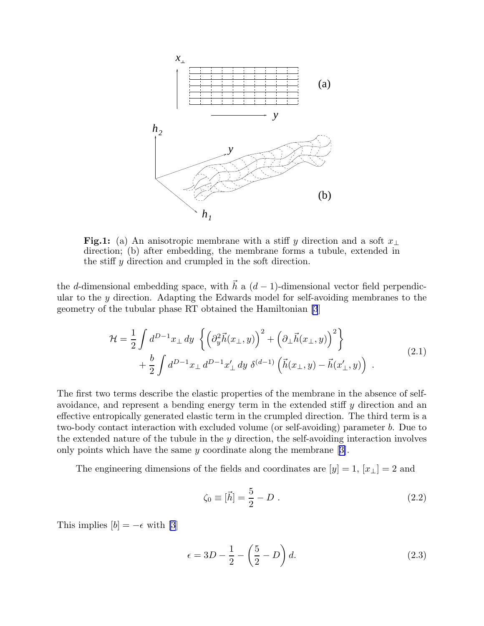<span id="page-3-0"></span>

Fig.1: (a) An anisotropic membrane with a stiff y direction and a soft  $x_{\perp}$ direction; (b) after embedding, the membrane forms a tubule, extended in the stiff y direction and crumpled in the soft direction.

the d-dimensional embedding space, with  $\vec{h}$  a (d – 1)-dimensional vector field perpendicular to the  $y$  direction. Adapting the Edwards model for self-avoiding membranes to the geometry of the tubular phase RT obtained the Hamiltonian [\[3](#page-19-0)]

$$
\mathcal{H} = \frac{1}{2} \int d^{D-1}x_{\perp} dy \left\{ \left( \partial_y^2 \vec{h}(x_{\perp}, y) \right)^2 + \left( \partial_{\perp} \vec{h}(x_{\perp}, y) \right)^2 \right\} + \frac{b}{2} \int d^{D-1}x_{\perp} d^{D-1}x'_{\perp} dy \ \delta^{(d-1)} \left( \vec{h}(x_{\perp}, y) - \vec{h}(x'_{\perp}, y) \right) .
$$
\n(2.1)

The first two terms describe the elastic properties of the membrane in the absence of selfavoidance, and represent a bending energy term in the extended stiff y direction and an effective entropically generated elastic term in the crumpled direction. The third term is a two-body contact interaction with excluded volume (or self-avoiding) parameter b. Due to the extended nature of the tubule in the  $y$  direction, the self-avoiding interaction involves onlypoints which have the same  $y$  coordinate along the membrane [[3\]](#page-19-0).

The engineering dimensions of the fields and coordinates are  $[y] = 1$ ,  $[x_\perp] = 2$  and

$$
\zeta_0 \equiv [\vec{h}] = \frac{5}{2} - D \; . \tag{2.2}
$$

This implies  $[b] = -\epsilon$  with [\[3](#page-19-0)]

$$
\epsilon = 3D - \frac{1}{2} - \left(\frac{5}{2} - D\right)d.
$$
\n
$$
(2.3)
$$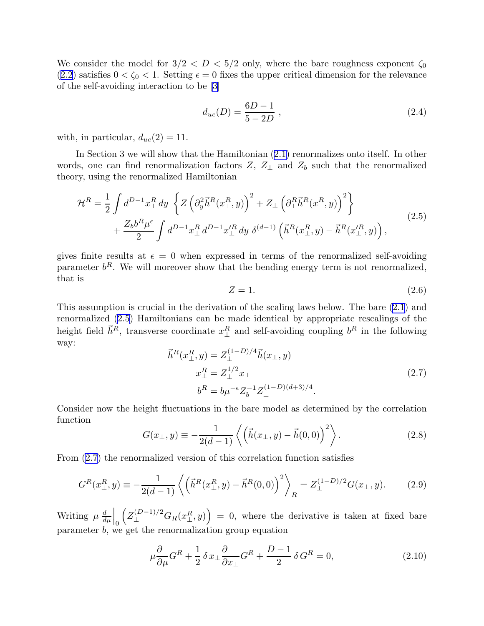<span id="page-4-0"></span>We consider the model for  $3/2 < D < 5/2$  only, where the bare roughness exponent  $\zeta_0$ ([2.2](#page-3-0)) satisfies  $0 < \zeta_0 < 1$ . Setting  $\epsilon = 0$  fixes the upper critical dimension for the relevance of the self-avoiding interaction to be [\[3](#page-19-0)]

$$
d_{uc}(D) = \frac{6D - 1}{5 - 2D},
$$
\n(2.4)

with, in particular,  $d_{uc}(2) = 11$ .

In Section 3 we will show that the Hamiltonian ([2.1](#page-3-0)) renormalizes onto itself. In other words, one can find renormalization factors  $Z, Z_{\perp}$  and  $Z_b$  such that the renormalized theory, using the renormalized Hamiltonian

$$
\mathcal{H}^{R} = \frac{1}{2} \int d^{D-1}x_{\perp}^{R} dy \left\{ Z \left( \partial_{y}^{2} \vec{h}^{R}(x_{\perp}^{R}, y) \right)^{2} + Z_{\perp} \left( \partial_{\perp}^{R} \vec{h}^{R}(x_{\perp}^{R}, y) \right)^{2} \right\} + \frac{Z_{b} b^{R} \mu^{e}}{2} \int d^{D-1}x_{\perp}^{R} d^{D-1}x_{\perp}^{\prime R} dy \ \delta^{(d-1)} \left( \vec{h}^{R}(x_{\perp}^{R}, y) - \vec{h}^{R}(x_{\perp}^{\prime R}, y) \right), \tag{2.5}
$$

gives finite results at  $\epsilon = 0$  when expressed in terms of the renormalized self-avoiding parameter  $b^R$ . We will moreover show that the bending energy term is not renormalized, that is

$$
Z = 1.\t\t(2.6)
$$

This assumption is crucial in the derivation of the scaling laws below. The bare ([2.1](#page-3-0)) and renormalized (2.5) Hamiltonians can be made identical by appropriate rescalings of the height field  $\vec{h}^R$ , transverse coordinate  $x_\perp^R$  and self-avoiding coupling  $b^R$  in the following way:

$$
\vec{h}^{R}(x_{\perp}^{R}, y) = Z_{\perp}^{(1-D)/4} \vec{h}(x_{\perp}, y)
$$
\n
$$
x_{\perp}^{R} = Z_{\perp}^{1/2} x_{\perp}
$$
\n
$$
b^{R} = b\mu^{-\epsilon} Z_{b}^{-1} Z_{\perp}^{(1-D)(d+3)/4}.
$$
\n(2.7)

Consider now the height fluctuations in the bare model as determined by the correlation function

$$
G(x_{\perp}, y) \equiv -\frac{1}{2(d-1)} \left\langle \left( \vec{h}(x_{\perp}, y) - \vec{h}(0, 0) \right)^2 \right\rangle. \tag{2.8}
$$

From (2.7) the renormalized version of this correlation function satisfies

$$
G^{R}(x_{\perp}^{R}, y) \equiv -\frac{1}{2(d-1)} \left\langle \left( \vec{h}^{R}(x_{\perp}^{R}, y) - \vec{h}^{R}(0, 0) \right)^{2} \right\rangle_{R} = Z_{\perp}^{(1-D)/2} G(x_{\perp}, y). \tag{2.9}
$$

Writing  $\mu \frac{d}{d}$  $d\mu$  $\Big\vert_0$  $\left( Z_{\perp}^{(D-1)/2} G_R(x_{\perp}^R, y) \right) = 0$ , where the derivative is taken at fixed bare parameter b, we get the renormalization group equation

$$
\mu \frac{\partial}{\partial \mu} G^R + \frac{1}{2} \delta x_\perp \frac{\partial}{\partial x_\perp} G^R + \frac{D-1}{2} \delta G^R = 0, \qquad (2.10)
$$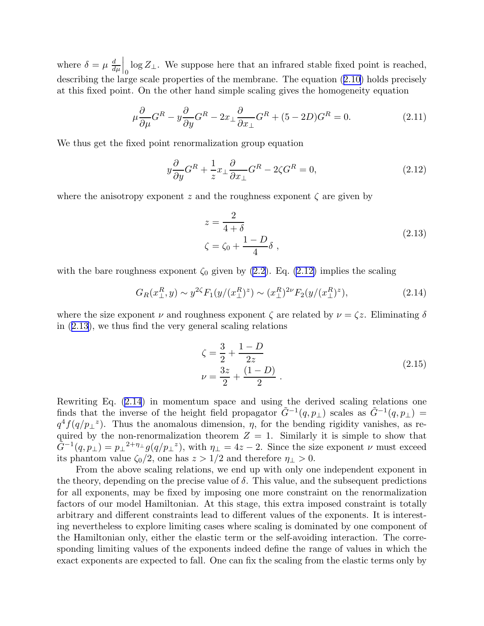<span id="page-5-0"></span>where  $\delta = \mu \frac{d}{d}$  $d\mu$  $\int_0 \log Z_\perp$ . We suppose here that an infrared stable fixed point is reached, describing the large scale properties of the membrane. The equation ([2.10](#page-4-0)) holds precisely at this fixed point. On the other hand simple scaling gives the homogeneity equation

$$
\mu \frac{\partial}{\partial \mu} G^R - y \frac{\partial}{\partial y} G^R - 2x_\perp \frac{\partial}{\partial x_\perp} G^R + (5 - 2D) G^R = 0.
$$
 (2.11)

We thus get the fixed point renormalization group equation

$$
y\frac{\partial}{\partial y}G^R + \frac{1}{z}x_\perp \frac{\partial}{\partial x_\perp}G^R - 2\zeta G^R = 0,\tag{2.12}
$$

where the anisotropy exponent z and the roughness exponent  $\zeta$  are given by

$$
z = \frac{2}{4+\delta}
$$
  
\n
$$
\zeta = \zeta_0 + \frac{1-D}{4}\delta,
$$
\n(2.13)

with the bare roughness exponent  $\zeta_0$  given by [\(2.2\)](#page-3-0). Eq. (2.12) implies the scaling

$$
G_R(x_\perp^R, y) \sim y^{2\zeta} F_1(y/(x_\perp^R)^z) \sim (x_\perp^R)^{2\nu} F_2(y/(x_\perp^R)^z), \tag{2.14}
$$

where the size exponent  $\nu$  and roughness exponent  $\zeta$  are related by  $\nu = \zeta z$ . Eliminating  $\delta$ in (2.13), we thus find the very general scaling relations

$$
\zeta = \frac{3}{2} + \frac{1 - D}{2z} \n\nu = \frac{3z}{2} + \frac{(1 - D)}{2} .
$$
\n(2.15)

Rewriting Eq. (2.14) in momentum space and using the derived scaling relations one finds that the inverse of the height field propagator  $\tilde{G}^{-1}(q, p_\perp)$  scales as  $\tilde{G}^{-1}(q, p_\perp)$  $q^4 f(q/p<sub>\perp</sub>z)$ . Thus the anomalous dimension,  $\eta$ , for the bending rigidity vanishes, as required by the non-renormalization theorem  $Z = 1$ . Similarly it is simple to show that  $\tilde{G}^{-1}(q, p_{\perp}) = p_{\perp}^{2+\eta_{\perp}} g(q/p_{\perp}^{\ z})$ , with  $\eta_{\perp} = 4z - 2$ . Since the size exponent  $\nu$  must exceed its phantom value  $\zeta_0/2$ , one has  $z > 1/2$  and therefore  $\eta_{\perp} > 0$ .

From the above scaling relations, we end up with only one independent exponent in the theory, depending on the precise value of  $\delta$ . This value, and the subsequent predictions for all exponents, may be fixed by imposing one more constraint on the renormalization factors of our model Hamiltonian. At this stage, this extra imposed constraint is totally arbitrary and different constraints lead to different values of the exponents. It is interesting nevertheless to explore limiting cases where scaling is dominated by one component of the Hamiltonian only, either the elastic term or the self-avoiding interaction. The corresponding limiting values of the exponents indeed define the range of values in which the exact exponents are expected to fall. One can fix the scaling from the elastic terms only by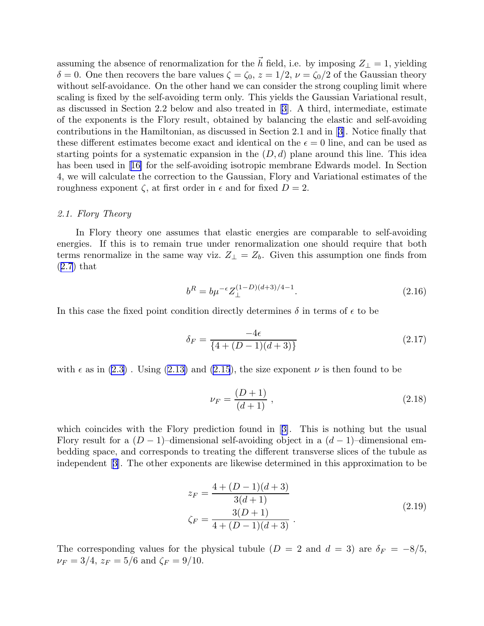assuming the absence of renormalization for the  $\vec{h}$  field, i.e. by imposing  $Z_{\perp} = 1$ , yielding  $\delta = 0$ . One then recovers the bare values  $\zeta = \zeta_0$ ,  $z = 1/2$ ,  $\nu = \zeta_0/2$  of the Gaussian theory without self-avoidance. On the other hand we can consider the strong coupling limit where scaling is fixed by the self-avoiding term only. This yields the Gaussian Variational result, as discussed in Section 2.2 below and also treated in[[3\]](#page-19-0). A third, intermediate, estimate of the exponents is the Flory result, obtained by balancing the elastic and self-avoiding contributions in the Hamiltonian, as discussed in Section 2.1 and in[[3\]](#page-19-0). Notice finally that these different estimates become exact and identical on the  $\epsilon = 0$  line, and can be used as starting points for a systematic expansion in the  $(D, d)$  plane around this line. This idea has been used in[[16\]](#page-19-0) for the self-avoiding isotropic membrane Edwards model. In Section 4, we will calculate the correction to the Gaussian, Flory and Variational estimates of the roughness exponent  $\zeta$ , at first order in  $\epsilon$  and for fixed  $D = 2$ .

#### 2.1. Flory Theory

In Flory theory one assumes that elastic energies are comparable to self-avoiding energies. If this is to remain true under renormalization one should require that both terms renormalize in the same way viz.  $Z_{\perp} = Z_b$ . Given this assumption one finds from ([2.7](#page-4-0)) that

$$
b^{R} = b\mu^{-\epsilon} Z_{\perp}^{(1-D)(d+3)/4-1}.
$$
\n(2.16)

In this case the fixed point condition directly determines  $\delta$  in terms of  $\epsilon$  to be

$$
\delta_F = \frac{-4\epsilon}{\{4 + (D - 1)(d + 3)\}}\tag{2.17}
$$

with  $\epsilon$  as in [\(2.3\)](#page-3-0). Using [\(2.13\)](#page-5-0) and [\(2.15](#page-5-0)), the size exponent  $\nu$  is then found to be

$$
\nu_F = \frac{(D+1)}{(d+1)} \,,\tag{2.18}
$$

whichcoincides with the Flory prediction found in [[3\]](#page-19-0). This is nothing but the usual Flory result for a  $(D-1)$ –dimensional self-avoiding object in a  $(d-1)$ –dimensional embedding space, and corresponds to treating the different transverse slices of the tubule as independent[[3\]](#page-19-0). The other exponents are likewise determined in this approximation to be

$$
z_F = \frac{4 + (D - 1)(d + 3)}{3(d + 1)}
$$
  
\n
$$
\zeta_F = \frac{3(D + 1)}{4 + (D - 1)(d + 3)}.
$$
\n(2.19)

The corresponding values for the physical tubule ( $D = 2$  and  $d = 3$ ) are  $\delta_F = -8/5$ ,  $\nu_F = 3/4$ ,  $z_F = 5/6$  and  $\zeta_F = 9/10$ .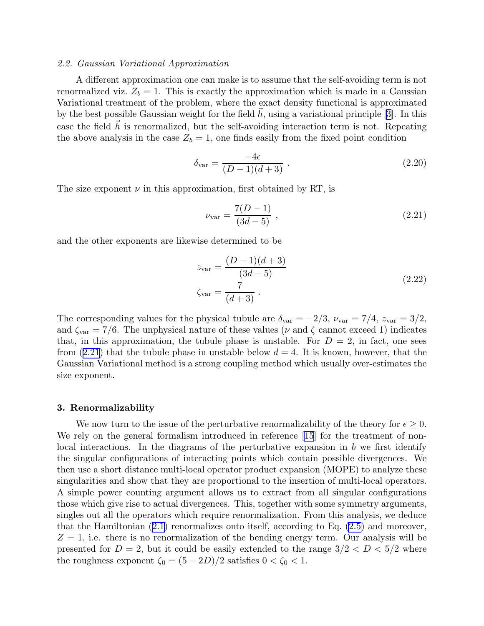#### 2.2. Gaussian Variational Approximation

A different approximation one can make is to assume that the self-avoiding term is not renormalized viz.  $Z_b = 1$ . This is exactly the approximation which is made in a Gaussian Variational treatment of the problem, where the exact density functional is approximated by the best possible Gaussian weight for the field  $h$ , using a variational principle [\[3](#page-19-0)]. In this case the field  $\vec{h}$  is renormalized, but the self-avoiding interaction term is not. Repeating the above analysis in the case  $Z_b = 1$ , one finds easily from the fixed point condition

$$
\delta_{\text{var}} = \frac{-4\epsilon}{(D-1)(d+3)} \ . \tag{2.20}
$$

The size exponent  $\nu$  in this approximation, first obtained by RT, is

$$
\nu_{\text{var}} = \frac{7(D-1)}{(3d-5)} \,, \tag{2.21}
$$

and the other exponents are likewise determined to be

$$
z_{\text{var}} = \frac{(D-1)(d+3)}{(3d-5)}
$$
  

$$
\zeta_{\text{var}} = \frac{7}{(d+3)}.
$$
 (2.22)

The corresponding values for the physical tubule are  $\delta_{\text{var}} = -2/3$ ,  $\nu_{\text{var}} = 7/4$ ,  $z_{\text{var}} = 3/2$ , and  $\zeta_{\text{var}} = 7/6$ . The unphysical nature of these values ( $\nu$  and  $\zeta$  cannot exceed 1) indicates that, in this approximation, the tubule phase is unstable. For  $D = 2$ , in fact, one sees from  $(2.21)$  that the tubule phase in unstable below  $d = 4$ . It is known, however, that the Gaussian Variational method is a strong coupling method which usually over-estimates the size exponent.

### 3. Renormalizability

We now turn to the issue of the perturbative renormalizability of the theory for  $\epsilon \geq 0$ . We rely on the general formalism introduced in reference [\[15](#page-19-0)] for the treatment of nonlocal interactions. In the diagrams of the perturbative expansion in  $b$  we first identify the singular configurations of interacting points which contain possible divergences. We then use a short distance multi-local operator product expansion (MOPE) to analyze these singularities and show that they are proportional to the insertion of multi-local operators. A simple power counting argument allows us to extract from all singular configurations those which give rise to actual divergences. This, together with some symmetry arguments, singles out all the operators which require renormalization. From this analysis, we deduce that the Hamiltonian  $(2.1)$  $(2.1)$  renormalizes onto itself, according to Eq.  $(2.5)$  and moreover,  $Z = 1$ , i.e. there is no renormalization of the bending energy term. Our analysis will be presented for  $D = 2$ , but it could be easily extended to the range  $3/2 < D < 5/2$  where the roughness exponent  $\zeta_0 = (5 - 2D)/2$  satisfies  $0 < \zeta_0 < 1$ .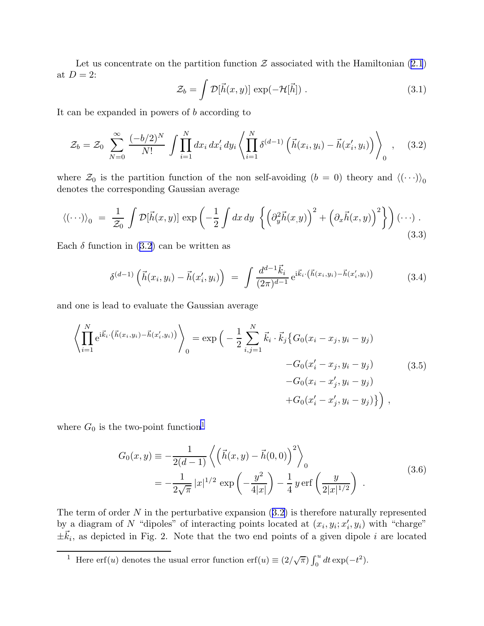<span id="page-8-0"></span>Let us concentrate on the partition function  $\mathcal Z$  associated with the Hamiltonian [\(2.1](#page-3-0)) at  $D=2$ :

$$
\mathcal{Z}_b = \int \mathcal{D}[\vec{h}(x, y)] \exp(-\mathcal{H}[\vec{h}]). \qquad (3.1)
$$

It can be expanded in powers of b according to

$$
\mathcal{Z}_b = \mathcal{Z}_0 \sum_{N=0}^{\infty} \frac{(-b/2)^N}{N!} \int \prod_{i=1}^N dx_i dx'_i dy_i \left\langle \prod_{i=1}^N \delta^{(d-1)} \left( \vec{h}(x_i, y_i) - \vec{h}(x'_i, y_i) \right) \right\rangle_0, \quad (3.2)
$$

where  $\mathcal{Z}_0$  is the partition function of the non self-avoiding  $(b = 0)$  theory and  $\langle (\cdots) \rangle_0$ denotes the corresponding Gaussian average

$$
\langle (\cdots) \rangle_0 = \frac{1}{\mathcal{Z}_0} \int \mathcal{D}[\vec{h}(x, y)] \exp\left(-\frac{1}{2} \int dx \, dy \, \left\{ \left(\partial_y^2 \vec{h}(x, y)\right)^2 + \left(\partial_x \vec{h}(x, y)\right)^2 \right\} \right) (\cdots) \,.
$$
\n(3.3)

Each  $\delta$  function in (3.2) can be written as

$$
\delta^{(d-1)}\left(\vec{h}(x_i, y_i) - \vec{h}(x'_i, y_i)\right) = \int \frac{d^{d-1}\vec{k}_i}{(2\pi)^{d-1}} e^{i\vec{k}_i \cdot (\vec{h}(x_i, y_i) - \vec{h}(x'_i, y_i))} \tag{3.4}
$$

and one is lead to evaluate the Gaussian average

$$
\left\langle \prod_{i=1}^{N} e^{i\vec{k}_{i} \cdot (\vec{h}(x_{i}, y_{i}) - \vec{h}(x'_{i}, y_{i}))} \right\rangle_{0} = \exp\left(-\frac{1}{2} \sum_{i,j=1}^{N} \vec{k}_{i} \cdot \vec{k}_{j} \{ G_{0}(x_{i} - x_{j}, y_{i} - y_{j}) -G_{0}(x'_{i} - x_{j}, y_{i} - y_{j}) -G_{0}(x_{i} - x'_{j}, y_{i} - y_{j}) -G_{0}(x_{i} - x'_{j}, y_{i} - y_{j}) +G_{0}(x'_{i} - x'_{j}, y_{i} - y_{j})\right\rangle ,
$$
\n(3.5)

where  $G_0$  is the two-point function<sup>1</sup>

$$
G_0(x,y) \equiv -\frac{1}{2(d-1)} \left\langle \left(\vec{h}(x,y) - \vec{h}(0,0)\right)^2 \right\rangle_0
$$
  
=  $-\frac{1}{2\sqrt{\pi}} |x|^{1/2} \exp\left(-\frac{y^2}{4|x|}\right) - \frac{1}{4} y \operatorname{erf}\left(\frac{y}{2|x|^{1/2}}\right)$  (3.6)

The term of order  $N$  in the perturbative expansion  $(3.2)$  is therefore naturally represented by a diagram of N "dipoles" of interacting points located at  $(x_i, y_i; x'_i, y_i)$  with "charge"  $\pm \vec{k}_i$ , as depicted in Fig. 2. Note that the two end points of a given dipole i are located

<sup>&</sup>lt;sup>1</sup> Here erf(u) denotes the usual error function erf(u)  $\equiv (2/\sqrt{\pi}) \int_0^u dt \exp(-t^2)$ .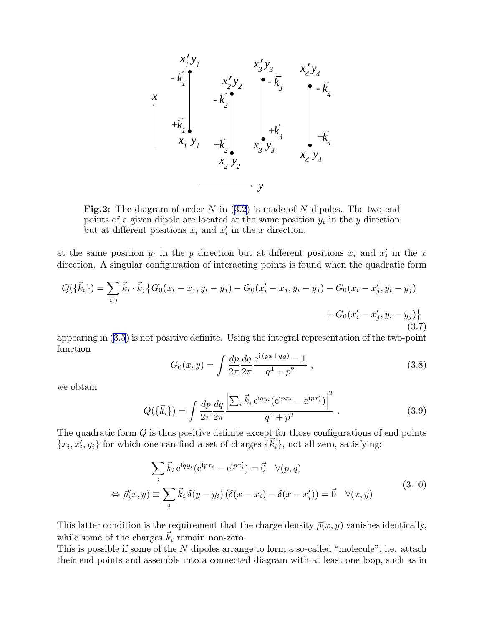

**Fig.2:** The diagram of order  $N$  in  $(3.2)$  $(3.2)$  $(3.2)$  is made of  $N$  dipoles. The two end points of a given dipole are located at the same position  $y_i$  in the y direction but at different positions  $x_i$  and  $x'_i$  in the x direction.

at the same position  $y_i$  in the y direction but at different positions  $x_i$  and  $x'_i$  in the x direction. A singular configuration of interacting points is found when the quadratic form

$$
Q(\{\vec{k}_i\}) = \sum_{i,j} \vec{k}_i \cdot \vec{k}_j \{ G_0(x_i - x_j, y_i - y_j) - G_0(x'_i - x_j, y_i - y_j) - G_0(x_i - x'_j, y_i - y_j) + G_0(x'_i - x'_j, y_i - y_j) \}
$$
\n
$$
+ G_0(x'_i - x'_j, y_i - y_j) \}
$$
\n(3.7)

appearing in ([3.5](#page-8-0)) is not positive definite. Using the integral representation of the two-point function

$$
G_0(x,y) = \int \frac{dp}{2\pi} \frac{dq}{2\pi} \frac{e^{i(px+qy)} - 1}{q^4 + p^2} , \qquad (3.8)
$$

we obtain

$$
Q(\{\vec{k}_i\}) = \int \frac{dp}{2\pi} \frac{dq}{2\pi} \frac{\left| \sum_i \vec{k}_i e^{iqy_i} (e^{ipx_i} - e^{ipx'_i}) \right|^2}{q^4 + p^2} \,. \tag{3.9}
$$

The quadratic form Q is thus positive definite except for those configurations of end points  $\{x_i, x'_i, y_i\}$  for which one can find a set of charges  $\{\vec{k}_i\}$ , not all zero, satisfying:

$$
\sum_{i} \vec{k}_i e^{iqy_i} (e^{ipx_i} - e^{ipx'_i}) = \vec{0} \quad \forall (p, q)
$$
  
\n
$$
\Leftrightarrow \vec{\rho}(x, y) \equiv \sum_{i} \vec{k}_i \,\delta(y - y_i) \left( \delta(x - x_i) - \delta(x - x'_i) \right) = \vec{0} \quad \forall (x, y)
$$
\n(3.10)

This latter condition is the requirement that the charge density  $\vec{\rho}(x, y)$  vanishes identically, while some of the charges  $\vec{k}_i$  remain non-zero.

This is possible if some of the N dipoles arrange to form a so-called "molecule", i.e. attach their end points and assemble into a connected diagram with at least one loop, such as in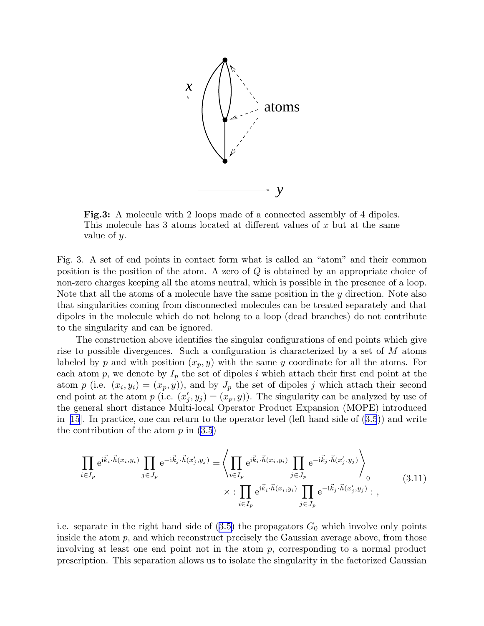

Fig.3: A molecule with 2 loops made of a connected assembly of 4 dipoles. This molecule has 3 atoms located at different values of x but at the same value of y.

Fig. 3. A set of end points in contact form what is called an "atom" and their common position is the position of the atom. A zero of Q is obtained by an appropriate choice of non-zero charges keeping all the atoms neutral, which is possible in the presence of a loop. Note that all the atoms of a molecule have the same position in the y direction. Note also that singularities coming from disconnected molecules can be treated separately and that dipoles in the molecule which do not belong to a loop (dead branches) do not contribute to the singularity and can be ignored.

The construction above identifies the singular configurations of end points which give rise to possible divergences. Such a configuration is characterized by a set of M atoms labeled by p and with position  $(x_p, y)$  with the same y coordinate for all the atoms. For each atom p, we denote by  $I_p$  the set of dipoles i which attach their first end point at the atom p (i.e.  $(x_i, y_i) = (x_p, y)$ ), and by  $J_p$  the set of dipoles j which attach their second end point at the atom  $p$  (i.e.  $(x'_j, y_j) = (x_p, y)$ ). The singularity can be analyzed by use of the general short distance Multi-local Operator Product Expansion (MOPE) introduced in  $|15|$ . In practice, one can return to the operator level (left hand side of  $(3.5)$  $(3.5)$ ) and write the contribution of the atom  $p$  in  $(3.5)$  $(3.5)$ 

$$
\prod_{i \in I_p} e^{i\vec{k}_i \cdot \vec{h}(x_i, y_i)} \prod_{j \in J_p} e^{-i\vec{k}_j \cdot \vec{h}(x'_j, y_j)} = \left\langle \prod_{i \in I_p} e^{i\vec{k}_i \cdot \vec{h}(x_i, y_i)} \prod_{j \in J_p} e^{-i\vec{k}_j \cdot \vec{h}(x'_j, y_j)} \right\rangle_0
$$
\n
$$
\times : \prod_{i \in I_p} e^{i\vec{k}_i \cdot \vec{h}(x_i, y_i)} \prod_{j \in J_p} e^{-i\vec{k}_j \cdot \vec{h}(x'_j, y_j)} : ,
$$
\n(3.11)

i.e. separate in the right hand side of  $(3.5)$  the propagators  $G_0$  which involve only points inside the atom  $p$ , and which reconstruct precisely the Gaussian average above, from those involving at least one end point not in the atom  $p$ , corresponding to a normal product prescription. This separation allows us to isolate the singularity in the factorized Gaussian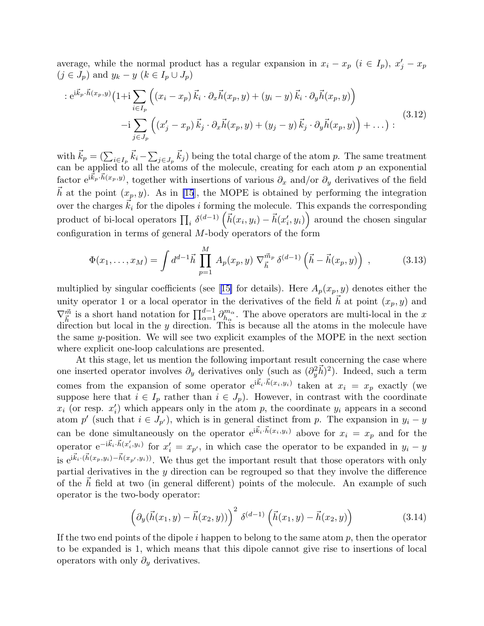<span id="page-11-0"></span>average, while the normal product has a regular expansion in  $x_i - x_p$   $(i \in I_p)$ ,  $x'_j - x_p$  $(j \in J_p)$  and  $y_k - y$   $(k \in I_p \cup J_p)$ 

$$
: e^{i\vec{k}_p \cdot \vec{h}(x_p, y)} \left(1+i \sum_{i \in I_p} \left( (x_i - x_p) \vec{k}_i \cdot \partial_x \vec{h}(x_p, y) + (y_i - y) \vec{k}_i \cdot \partial_y \vec{h}(x_p, y) \right) - i \sum_{j \in J_p} \left( (x'_j - x_p) \vec{k}_j \cdot \partial_x \vec{h}(x_p, y) + (y_j - y) \vec{k}_j \cdot \partial_y \vec{h}(x_p, y) \right) + \dots \right)
$$
\n(3.12)

with  $\vec{k}_p = (\sum_{i \in I_p} \vec{k}_i - \sum_{j \in J_p} \vec{k}_j)$  being the total charge of the atom p. The same treatment can be applied to all the atoms of the molecule, creating for each atom  $p$  an exponential factor  $e^{i\vec{k}_p \cdot \vec{h}(x_p,y)}$ , together with insertions of various  $\partial_x$  and/or  $\partial_y$  derivatives of the field  $\vec{h}$  at the point  $(x_p, y)$ . As in [\[15](#page-19-0)], the MOPE is obtained by performing the integration over the charges  $\vec{k}_i$  for the dipoles i forming the molecule. This expands the corresponding product of bi-local operators  $\prod_i \delta^{(d-1)} \left( \vec{h}(x_i, y_i) - \vec{h}(x'_i, y_i) \right)$  around the chosen singular configuration in terms of general  $M$ -body operators of the form

$$
\Phi(x_1, \dots, x_M) = \int d^{d-1} \vec{h} \prod_{p=1}^M A_p(x_p, y) \nabla_{\vec{h}}^{\vec{m}_p} \delta^{(d-1)} \left( \vec{h} - \vec{h}(x_p, y) \right) , \qquad (3.13)
$$

multipliedby singular coefficients (see [[15\]](#page-19-0) for details). Here  $A_p(x_p, y)$  denotes either the unity operator 1 or a local operator in the derivatives of the field  $\vec{h}$  at point  $(x_p, y)$  and  $\nabla^{\vec{m}}_{\vec{h}}$  is a short hand notation for  $\prod_{\alpha=1}^{d-1} \partial^{m_{\alpha}}_{h_{\alpha}}$  $\binom{m_{\alpha}}{h_{\alpha}}$ . The above operators are multi-local in the x direction but local in the y direction. This is because all the atoms in the molecule have the same  $\gamma$ -position. We will see two explicit examples of the MOPE in the next section where explicit one-loop calculations are presented.

At this stage, let us mention the following important result concerning the case where one inserted operator involves  $\partial_y$  derivatives only (such as  $(\partial_y^2 \vec{h})^2$ ). Indeed, such a term comes from the expansion of some operator  $e^{i\vec{k}_i \cdot \vec{h}(x_i,y_i)}$  taken at  $x_i = x_p$  exactly (we suppose here that  $i \in I_p$  rather than  $i \in J_p$ ). However, in contrast with the coordinate  $x_i$  (or resp.  $x'_i$ ) which appears only in the atom p, the coordinate  $y_i$  appears in a second atom p' (such that  $i \in J_{p'}$ ), which is in general distinct from p. The expansion in  $y_i - y$ can be done simultaneously on the operator  $e^{i\vec{k}_i\cdot\vec{h}(x_i,y_i)}$  above for  $x_i = x_p$  and for the operator  $e^{-i\vec{k}_i \cdot \vec{h}(x'_i, y_i)}$  for  $x'_i = x_{p'}$ , in which case the operator to be expanded in  $y_i - y$ is  $e^{i\vec{k}_i\cdot(\vec{h}(x_p,y_i)-\vec{h}(x_{p'},y_i))}$ . We thus get the important result that those operators with only partial derivatives in the y direction can be regrouped so that they involve the difference of the  $h$  field at two (in general different) points of the molecule. An example of such operator is the two-body operator:

$$
\left(\partial_y(\vec{h}(x_1,y) - \vec{h}(x_2,y))\right)^2 \delta^{(d-1)}\left(\vec{h}(x_1,y) - \vec{h}(x_2,y)\right) \tag{3.14}
$$

If the two end points of the dipole i happen to belong to the same atom  $p$ , then the operator to be expanded is 1, which means that this dipole cannot give rise to insertions of local operators with only  $\partial_y$  derivatives.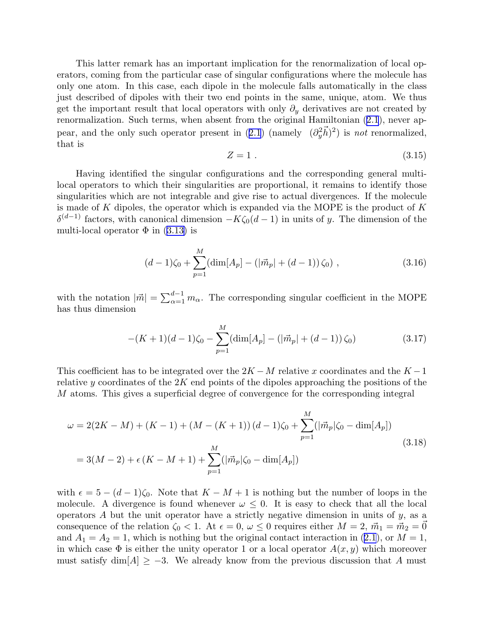<span id="page-12-0"></span>This latter remark has an important implication for the renormalization of local operators, coming from the particular case of singular configurations where the molecule has only one atom. In this case, each dipole in the molecule falls automatically in the class just described of dipoles with their two end points in the same, unique, atom. We thus get the important result that local operators with only  $\partial_y$  derivatives are not created by renormalization. Such terms, when absent from the original Hamiltonian ([2.1](#page-3-0)), never appear, and the only such operator present in  $(2.1)$  $(2.1)$  $(2.1)$  (namely  $(\partial_y^2 \vec{h})^2$ ) is not renormalized, that is

$$
Z = 1 \tag{3.15}
$$

Having identified the singular configurations and the corresponding general multilocal operators to which their singularities are proportional, it remains to identify those singularities which are not integrable and give rise to actual divergences. If the molecule is made of K dipoles, the operator which is expanded via the MOPE is the product of  $K$  $\delta^{(d-1)}$  factors, with canonical dimension  $-K\zeta_0(d-1)$  in units of y. The dimension of the multi-local operator  $\Phi$  in [\(3.13\)](#page-11-0) is

$$
(d-1)\zeta_0 + \sum_{p=1}^{M} (\dim[A_p] - (|\vec{m}_p| + (d-1))\zeta_0) , \qquad (3.16)
$$

with the notation  $|\vec{m}| = \sum_{\alpha=1}^{d-1} m_{\alpha}$ . The corresponding singular coefficient in the MOPE has thus dimension

$$
-(K+1)(d-1)\zeta_0 - \sum_{p=1}^{M} (\dim[A_p] - (|\vec{m}_p| + (d-1))\zeta_0)
$$
\n(3.17)

This coefficient has to be integrated over the  $2K-M$  relative x coordinates and the  $K-1$ relative y coordinates of the  $2K$  end points of the dipoles approaching the positions of the M atoms. This gives a superficial degree of convergence for the corresponding integral

$$
\omega = 2(2K - M) + (K - 1) + (M - (K + 1))(d - 1)\zeta_0 + \sum_{p=1}^{M} (|\vec{m}_p|\zeta_0 - \dim[A_p])
$$
  
= 3(M - 2) +  $\epsilon$  (K - M + 1) +  $\sum_{p=1}^{M} (|\vec{m}_p|\zeta_0 - \dim[A_p])$  (3.18)

with  $\epsilon = 5 - (d-1)\zeta_0$ . Note that  $K - M + 1$  is nothing but the number of loops in the molecule. A divergence is found whenever  $\omega \leq 0$ . It is easy to check that all the local operators  $A$  but the unit operator have a strictly negative dimension in units of  $y$ , as a consequence of the relation  $\zeta_0 < 1$ . At  $\epsilon = 0$ ,  $\omega \leq 0$  requires either  $M = 2$ ,  $\vec{m}_1 = \vec{m}_2 = \vec{0}$ and  $A_1 = A_2 = 1$ , which is nothing but the original contact interaction in ([2.1](#page-3-0)), or  $M = 1$ , in which case  $\Phi$  is either the unity operator 1 or a local operator  $A(x, y)$  which moreover must satisfy  $\dim[A] \geq -3$ . We already know from the previous discussion that A must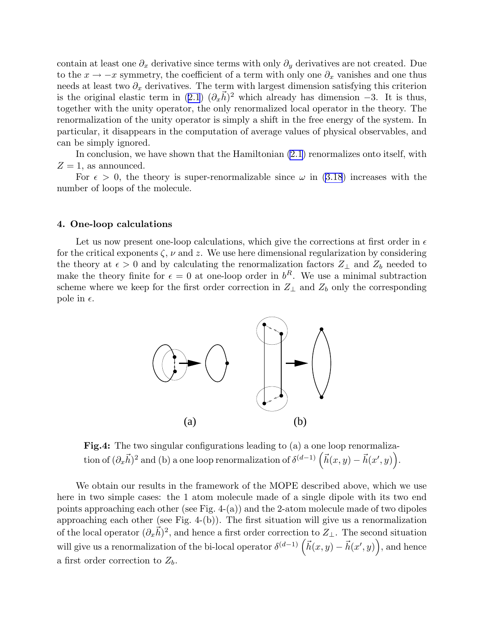contain at least one  $\partial_x$  derivative since terms with only  $\partial_y$  derivatives are not created. Due to the  $x \to -x$  symmetry, the coefficient of a term with only one  $\partial_x$  vanishes and one thus needs at least two  $\partial_x$  derivatives. The term with largest dimension satisfying this criterion is the original elastic term in  $(2.1)$  $(2.1)$  $(2.1)$   $(\partial_x \vec{h})^2$  which already has dimension -3. It is thus, together with the unity operator, the only renormalized local operator in the theory. The renormalization of the unity operator is simply a shift in the free energy of the system. In particular, it disappears in the computation of average values of physical observables, and can be simply ignored.

In conclusion, we have shown that the Hamiltonian  $(2.1)$  renormalizes onto itself, with  $Z = 1$ , as announced.

For  $\epsilon > 0$ , the theory is super-renormalizable since  $\omega$  in [\(3.18](#page-12-0)) increases with the number of loops of the molecule.

#### 4. One-loop calculations

Let us now present one-loop calculations, which give the corrections at first order in  $\epsilon$ for the critical exponents  $\zeta$ ,  $\nu$  and  $z$ . We use here dimensional regularization by considering the theory at  $\epsilon > 0$  and by calculating the renormalization factors  $Z_{\perp}$  and  $Z_b$  needed to make the theory finite for  $\epsilon = 0$  at one-loop order in  $b^R$ . We use a minimal subtraction scheme where we keep for the first order correction in  $Z_{\perp}$  and  $Z_b$  only the corresponding pole in  $\epsilon$ .



Fig.4: The two singular configurations leading to (a) a one loop renormalization of  $(\partial_x \vec{h})^2$  and (b) a one loop renormalization of  $\delta^{(d-1)}(\vec{h}(x,y) - \vec{h}(x',y))$ .

We obtain our results in the framework of the MOPE described above, which we use here in two simple cases: the 1 atom molecule made of a single dipole with its two end points approaching each other (see Fig. 4-(a)) and the 2-atom molecule made of two dipoles approaching each other (see Fig. 4-(b)). The first situation will give us a renormalization of the local operator  $(\partial_x \vec{h})^2$ , and hence a first order correction to  $Z_{\perp}$ . The second situation will give us a renormalization of the bi-local operator  $\delta^{(d-1)}\left(\vec{h}(x,y) - \vec{h}(x',y)\right)$ , and hence a first order correction to  $Z_b$ .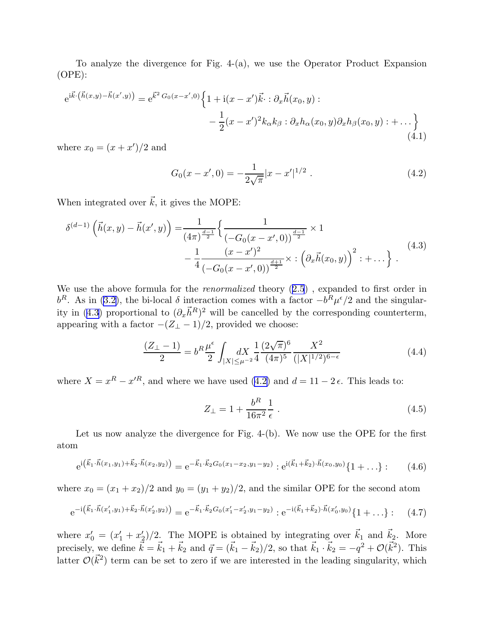<span id="page-14-0"></span>To analyze the divergence for Fig. 4-(a), we use the Operator Product Expansion (OPE):

$$
e^{i\vec{k}\cdot(\vec{h}(x,y)-\vec{h}(x',y))} = e^{\vec{k}^2 G_0(x-x',0)} \left\{ 1 + i(x-x')\vec{k}\cdot \partial_x \vec{h}(x_0,y) : -\frac{1}{2}(x-x')^2 k_\alpha k_\beta : \partial_x h_\alpha(x_0,y) \partial_x h_\beta(x_0,y) : + \dots \right\}
$$
\n(4.1)

where  $x_0 = (x + x')/2$  and

$$
G_0(x - x', 0) = -\frac{1}{2\sqrt{\pi}} |x - x'|^{1/2} . \qquad (4.2)
$$

When integrated over  $\vec{k}$ , it gives the MOPE:

$$
\delta^{(d-1)}\left(\vec{h}(x,y) - \vec{h}(x',y)\right) = \frac{1}{(4\pi)^{\frac{d-1}{2}}} \left\{ \frac{1}{\left(-G_0(x-x',0)\right)^{\frac{d-1}{2}}} \times 1 - \frac{1}{4} \frac{(x-x')^2}{\left(-G_0(x-x',0)\right)^{\frac{d+1}{2}}} \times \left(\partial_x \vec{h}(x_0,y)\right)^2 + \dots \right\}.
$$
\n(4.3)

We use the above formula for the *renormalized* theory  $(2.5)$  $(2.5)$  $(2.5)$ , expanded to first order in  $b^R$ . As in [\(3.2\)](#page-8-0), the bi-local δ interaction comes with a factor  $-b^R\mu^{\epsilon}/2$  and the singularity in (4.3) proportional to  $(\partial_x \vec{h}^R)^2$  will be cancelled by the corresponding counterterm, appearing with a factor  $-(Z_{\perp}-1)/2$ , provided we choose:

$$
\frac{(Z_{\perp} - 1)}{2} = b^R \frac{\mu^{\epsilon}}{2} \int_{|X| \le \mu^{-2}} dX \frac{1}{4} \frac{(2\sqrt{\pi})^6}{(4\pi)^5} \frac{X^2}{(|X|^{1/2})^{6-\epsilon}} \tag{4.4}
$$

where  $X = x^R - x'^R$ , and where we have used  $(4.2)$  and  $d = 11 - 2\epsilon$ . This leads to:

$$
Z_{\perp} = 1 + \frac{b^R}{16\pi^2} \frac{1}{\epsilon} \tag{4.5}
$$

Let us now analyze the divergence for Fig. 4-(b). We now use the OPE for the first atom

$$
e^{i(\vec{k}_1 \cdot \vec{h}(x_1, y_1) + \vec{k}_2 \cdot \vec{h}(x_2, y_2))} = e^{-\vec{k}_1 \cdot \vec{k}_2 G_0(x_1 - x_2, y_1 - y_2)} : e^{i(\vec{k}_1 + \vec{k}_2) \cdot \vec{h}(x_0, y_0)} \{1 + \dots\} :
$$
 (4.6)

where  $x_0 = (x_1 + x_2)/2$  and  $y_0 = (y_1 + y_2)/2$ , and the similar OPE for the second atom

$$
e^{-i(\vec{k}_1 \cdot \vec{h}(x'_1, y_1) + \vec{k}_2 \cdot \vec{h}(x'_2, y_2))} = e^{-\vec{k}_1 \cdot \vec{k}_2 G_0(x'_1 - x'_2, y_1 - y_2)} : e^{-i(\vec{k}_1 + \vec{k}_2) \cdot \vec{h}(x'_0, y_0)} \{1 + \dots\} : (4.7)
$$

where  $x'_0 = (x'_1 + x'_2)/2$ . The MOPE is obtained by integrating over  $\vec{k}_1$  and  $\vec{k}_2$ . More precisely, we define  $\vec{k} = \vec{k}_1 + \vec{k}_2$  and  $\vec{q} = (\vec{k}_1 - \vec{k}_2)/2$ , so that  $\vec{k}_1 \cdot \vec{k}_2 = -q^2 + \mathcal{O}(\vec{k}^2)$ . This latter  $\mathcal{O}(\vec{k}^2)$  term can be set to zero if we are interested in the leading singularity, which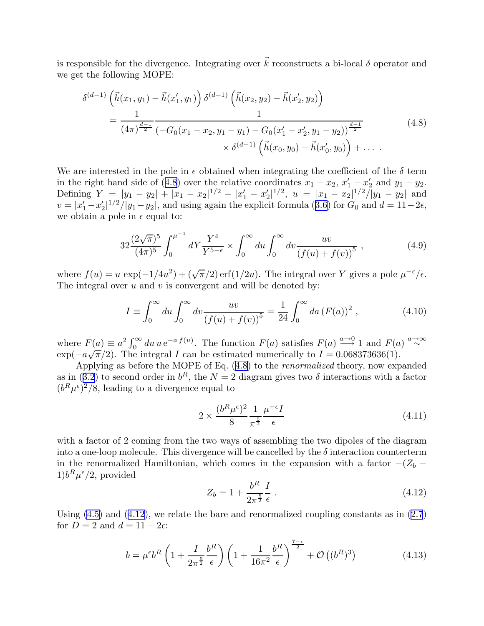is responsible for the divergence. Integrating over  $\vec{k}$  reconstructs a bi-local  $\delta$  operator and we get the following MOPE:

$$
\delta^{(d-1)}\left(\vec{h}(x_1, y_1) - \vec{h}(x'_1, y_1)\right) \delta^{(d-1)}\left(\vec{h}(x_2, y_2) - \vec{h}(x'_2, y_2)\right)
$$
\n
$$
= \frac{1}{(4\pi)^{\frac{d-1}{2}}} \frac{1}{(-G_0(x_1 - x_2, y_1 - y_1) - G_0(x'_1 - x'_2, y_1 - y_2))^{\frac{d-1}{2}}} \times \delta^{(d-1)}\left(\vec{h}(x_0, y_0) - \vec{h}(x'_0, y_0)\right) + \dots
$$
\n(4.8)

We are interested in the pole in  $\epsilon$  obtained when integrating the coefficient of the  $\delta$  term in the right hand side of (4.8) over the relative coordinates  $x_1 - x_2$ ,  $x'_1 - x'_2$  and  $y_1 - y_2$ . Defining  $Y = |y_1 - y_2| + |x_1 - x_2|^{1/2} + |x'_1 - x'_2|^{1/2}, u = |x_1 - x_2|^{1/2}/|y_1 - y_2|$  and  $v = |x'_1 - x'_2|^{1/2} / |y_1 - y_2|$ , and using again the explicit formula ([3.6](#page-8-0)) for  $G_0$  and  $d = 11 - 2\epsilon$ , we obtain a pole in  $\epsilon$  equal to:

$$
32\frac{(2\sqrt{\pi})^5}{(4\pi)^5} \int_0^{\mu^{-1}} dY \frac{Y^4}{Y^{5-\epsilon}} \times \int_0^\infty du \int_0^\infty dv \frac{uv}{(f(u) + f(v))^5} ,\qquad (4.9)
$$

where  $f(u) = u \exp(-1/4u^2) + (\sqrt{\pi}/2) \operatorname{erf}(1/2u)$ . The integral over Y gives a pole  $\mu^{-\epsilon}/\epsilon$ . The integral over  $u$  and  $v$  is convergent and will be denoted by:

$$
I \equiv \int_0^\infty du \int_0^\infty dv \frac{uv}{(f(u) + f(v))^5} = \frac{1}{24} \int_0^\infty da (F(a))^2 , \qquad (4.10)
$$

where  $F(a) \equiv a^2 \int_0^\infty du \, u \, e^{-a \, f(u)}$ . The function  $F(a)$  satisfies  $F(a) \stackrel{a \to 0}{\longrightarrow} 1$  and  $F(a) \stackrel{a \to \infty}{\sim}$  $\exp(-a\sqrt{\pi}/2)$ . The integral I can be estimated numerically to  $I = 0.068373636(1)$ .

Applying as before the MOPE of Eq. (4.8) to the *renormalized* theory, now expanded as in ([3.2](#page-8-0)) to second order in  $b^R$ , the  $N = 2$  diagram gives two  $\delta$  interactions with a factor  $(b^R \mu^{\epsilon})^2/8$ , leading to a divergence equal to

$$
2 \times \frac{(b^R \mu^{\epsilon})^2}{8} \frac{1}{\pi^{\frac{5}{2}}} \frac{\mu^{-\epsilon} I}{\epsilon}
$$
 (4.11)

with a factor of 2 coming from the two ways of assembling the two dipoles of the diagram into a one-loop molecule. This divergence will be cancelled by the  $\delta$  interaction counterterm in the renormalized Hamiltonian, which comes in the expansion with a factor  $-(Z_b (1)b^R\mu^{\epsilon}/2$ , provided

$$
Z_b = 1 + \frac{b^R}{2\pi^{\frac{5}{2}}} \frac{I}{\epsilon} \tag{4.12}
$$

Using  $(4.5)$  and  $(4.12)$ , we relate the bare and renormalized coupling constants as in  $(2.7)$  $(2.7)$ for  $D = 2$  and  $d = 11 - 2\epsilon$ :

$$
b = \mu^{\epsilon} b^R \left( 1 + \frac{I}{2\pi^{\frac{5}{2}}} \frac{b^R}{\epsilon} \right) \left( 1 + \frac{1}{16\pi^2} \frac{b^R}{\epsilon} \right)^{\frac{7-\epsilon}{2}} + \mathcal{O}\left( (b^R)^3 \right) \tag{4.13}
$$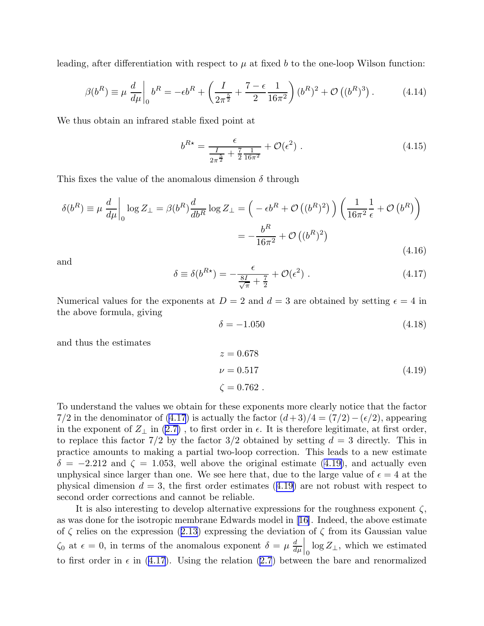<span id="page-16-0"></span>leading, after differentiation with respect to  $\mu$  at fixed b to the one-loop Wilson function:

$$
\beta(b^R) \equiv \mu \frac{d}{d\mu} \bigg|_0 b^R = -\epsilon b^R + \left(\frac{I}{2\pi^{\frac{5}{2}}} + \frac{7-\epsilon}{2} \frac{1}{16\pi^2}\right) (b^R)^2 + \mathcal{O}\left((b^R)^3\right). \tag{4.14}
$$

We thus obtain an infrared stable fixed point at

$$
b^{R\star} = \frac{\epsilon}{\frac{I}{2\pi^{\frac{5}{2}}} + \frac{7}{2}\frac{1}{16\pi^2}} + \mathcal{O}(\epsilon^2) \ . \tag{4.15}
$$

This fixes the value of the anomalous dimension  $\delta$  through

$$
\delta(b^R) \equiv \mu \frac{d}{d\mu} \Big|_0 \log Z_{\perp} = \beta(b^R) \frac{d}{db^R} \log Z_{\perp} = \left( -\epsilon b^R + \mathcal{O}\left((b^R)^2\right) \right) \left( \frac{1}{16\pi^2} \frac{1}{\epsilon} + \mathcal{O}\left(b^R\right) \right)
$$

$$
= -\frac{b^R}{16\pi^2} + \mathcal{O}\left((b^R)^2\right) \tag{4.16}
$$

and

$$
\delta \equiv \delta(b^{R\star}) = -\frac{\epsilon}{\frac{8I}{\sqrt{\pi}} + \frac{7}{2}} + \mathcal{O}(\epsilon^2) \ . \tag{4.17}
$$

Numerical values for the exponents at  $D = 2$  and  $d = 3$  are obtained by setting  $\epsilon = 4$  in the above formula, giving

$$
\delta = -1.050\tag{4.18}
$$

and thus the estimates

$$
z = 0.678
$$
  
\n
$$
\nu = 0.517
$$
  
\n
$$
\zeta = 0.762
$$
 (4.19)

To understand the values we obtain for these exponents more clearly notice that the factor 7/2 in the denominator of (4.17) is actually the factor  $(d+3)/4 = (7/2) - (\epsilon/2)$ , appearing in the exponent of  $Z_{\perp}$  in [\(2.7\)](#page-4-0), to first order in  $\epsilon$ . It is therefore legitimate, at first order, to replace this factor 7/2 by the factor 3/2 obtained by setting  $d = 3$  directly. This in practice amounts to making a partial two-loop correction. This leads to a new estimate  $\delta = -2.212$  and  $\zeta = 1.053$ , well above the original estimate (4.19), and actually even unphysical since larger than one. We see here that, due to the large value of  $\epsilon = 4$  at the physical dimension  $d = 3$ , the first order estimates (4.19) are not robust with respect to second order corrections and cannot be reliable.

It is also interesting to develop alternative expressions for the roughness exponent  $\zeta$ , as was done for the isotropic membrane Edwards model in[[16](#page-19-0)]. Indeed, the above estimate of  $\zeta$  relies on the expression ([2.13](#page-5-0)) expressing the deviation of  $\zeta$  from its Gaussian value  $\zeta_0$  at  $\epsilon = 0$ , in terms of the anomalous exponent  $\delta = \mu \frac{d}{d\epsilon}$  $d\mu$  $\log Z_{\perp}$ , which we estimated to first order in  $\epsilon$  in (4.17). Using the relation [\(2.7](#page-4-0)) between the bare and renormalized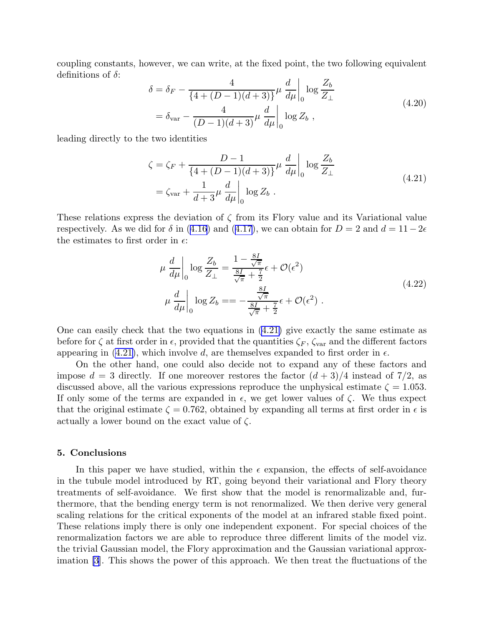coupling constants, however, we can write, at the fixed point, the two following equivalent definitions of  $\delta$ :

$$
\delta = \delta_F - \frac{4}{\{4 + (D - 1)(d + 3)\}} \mu \frac{d}{d\mu} \Big|_0 \log \frac{Z_b}{Z_\perp}
$$
  
=  $\delta_{\text{var}} - \frac{4}{(D - 1)(d + 3)} \mu \frac{d}{d\mu} \Big|_0 \log Z_b$ , (4.20)

leading directly to the two identities

$$
\zeta = \zeta_F + \frac{D - 1}{\{4 + (D - 1)(d + 3)\}} \mu \frac{d}{d\mu} \Big|_0 \log \frac{Z_b}{Z_{\perp}}
$$
  
=  $\zeta_{\text{var}} + \frac{1}{d + 3} \mu \frac{d}{d\mu} \Big|_0 \log Z_b$ . (4.21)

These relations express the deviation of  $\zeta$  from its Flory value and its Variational value respectively. As we did for  $\delta$  in ([4.16\)](#page-16-0) and ([4.17\)](#page-16-0), we can obtain for  $D = 2$  and  $d = 11-2\epsilon$ the estimates to first order in  $\epsilon$ :

$$
\mu \frac{d}{d\mu}\Big|_0 \log \frac{Z_b}{Z_\perp} = \frac{1 - \frac{8I}{\sqrt{\pi}}}{\frac{8I}{\sqrt{\pi}} + \frac{7}{2}} \epsilon + \mathcal{O}(\epsilon^2)
$$
\n
$$
\mu \frac{d}{d\mu}\Big|_0 \log Z_b = = -\frac{\frac{8I}{\sqrt{\pi}}}{\frac{8I}{\sqrt{\pi}} + \frac{7}{2}} \epsilon + \mathcal{O}(\epsilon^2) .
$$
\n(4.22)

One can easily check that the two equations in (4.21) give exactly the same estimate as before for  $\zeta$  at first order in  $\epsilon$ , provided that the quantities  $\zeta_F$ ,  $\zeta_{\text{var}}$  and the different factors appearing in (4.21), which involve d, are themselves expanded to first order in  $\epsilon$ .

On the other hand, one could also decide not to expand any of these factors and impose  $d = 3$  directly. If one moreover restores the factor  $(d+3)/4$  instead of 7/2, as discussed above, all the various expressions reproduce the unphysical estimate  $\zeta = 1.053$ . If only some of the terms are expanded in  $\epsilon$ , we get lower values of  $\zeta$ . We thus expect that the original estimate  $\zeta = 0.762$ , obtained by expanding all terms at first order in  $\epsilon$  is actually a lower bound on the exact value of  $\zeta$ .

#### 5. Conclusions

In this paper we have studied, within the  $\epsilon$  expansion, the effects of self-avoidance in the tubule model introduced by RT, going beyond their variational and Flory theory treatments of self-avoidance. We first show that the model is renormalizable and, furthermore, that the bending energy term is not renormalized. We then derive very general scaling relations for the critical exponents of the model at an infrared stable fixed point. These relations imply there is only one independent exponent. For special choices of the renormalization factors we are able to reproduce three different limits of the model viz. the trivial Gaussian model, the Flory approximation and the Gaussian variational approximation [\[3](#page-19-0)]. This shows the power of this approach. We then treat the fluctuations of the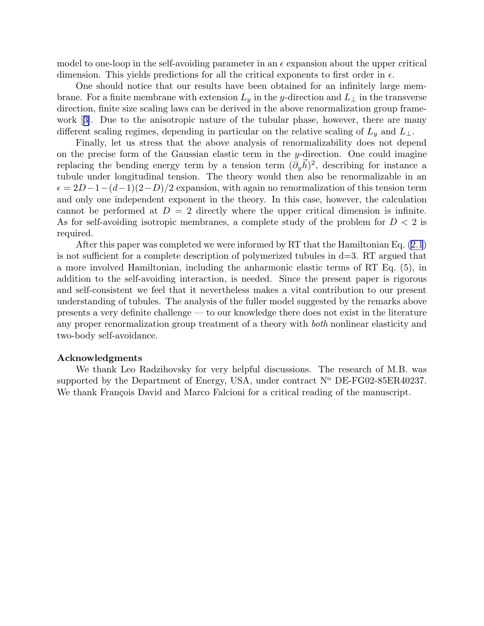model to one-loop in the self-avoiding parameter in an  $\epsilon$  expansion about the upper critical dimension. This yields predictions for all the critical exponents to first order in  $\epsilon$ .

One should notice that our results have been obtained for an infinitely large membrane. For a finite membrane with extension  $L_y$  in the y-direction and  $L_{\perp}$  in the transverse direction, finite size scaling laws can be derived in the above renormalization group framework[[3\]](#page-19-0). Due to the anisotropic nature of the tubular phase, however, there are many different scaling regimes, depending in particular on the relative scaling of  $L_y$  and  $L_{\perp}$ .

Finally, let us stress that the above analysis of renormalizability does not depend on the precise form of the Gaussian elastic term in the  $y$ -direction. One could imagine replacing the bending energy term by a tension term  $(\partial_y \vec{h})^2$ , describing for instance a tubule under longitudinal tension. The theory would then also be renormalizable in an  $\epsilon = 2D-1-(d-1)(2-D)/2$  expansion, with again no renormalization of this tension term and only one independent exponent in the theory. In this case, however, the calculation cannot be performed at  $D = 2$  directly where the upper critical dimension is infinite. As for self-avoiding isotropic membranes, a complete study of the problem for  $D < 2$  is required.

After this paper was completed we were informed by RT that the Hamiltonian Eq. [\(2.1](#page-3-0)) is not sufficient for a complete description of polymerized tubules in d=3. RT argued that a more involved Hamiltonian, including the anharmonic elastic terms of RT Eq. (5), in addition to the self-avoiding interaction, is needed. Since the present paper is rigorous and self-consistent we feel that it nevertheless makes a vital contribution to our present understanding of tubules. The analysis of the fuller model suggested by the remarks above presents a very definite challenge — to our knowledge there does not exist in the literature any proper renormalization group treatment of a theory with both nonlinear elasticity and two-body self-avoidance.

# Acknowledgments

We thank Leo Radzihovsky for very helpful discussions. The research of M.B. was supported by the Department of Energy, USA, under contract  $N^{\circ}$  DE-FG02-85ER40237. We thank François David and Marco Falcioni for a critical reading of the manuscript.